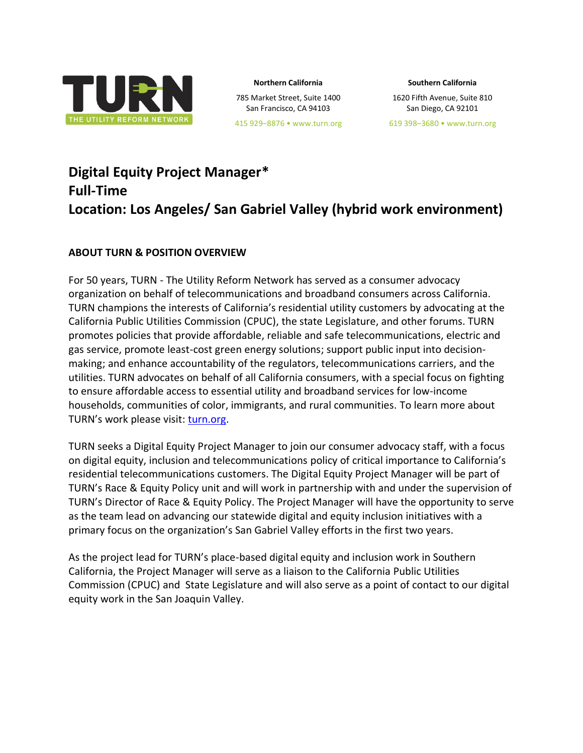

**Northern California**

785 Market Street, Suite 1400 San Francisco, CA 94103

**Southern California**

1620 Fifth Avenue, Suite 810 San Diego, CA 92101

619 398–3680 • www.turn.org

# **Digital Equity Project Manager\* Full-Time Location: Los Angeles/ San Gabriel Valley (hybrid work environment)**

#### **ABOUT TURN & POSITION OVERVIEW**

For 50 years, TURN - The Utility Reform Network has served as a consumer advocacy organization on behalf of telecommunications and broadband consumers across California. TURN champions the interests of California's residential utility customers by advocating at the California Public Utilities Commission (CPUC), the state Legislature, and other forums. TURN promotes policies that provide affordable, reliable and safe telecommunications, electric and gas service, promote least-cost green energy solutions; support public input into decisionmaking; and enhance accountability of the regulators, telecommunications carriers, and the utilities. TURN advocates on behalf of all California consumers, with a special focus on fighting to ensure affordable access to essential utility and broadband services for low-income households, communities of color, immigrants, and rural communities. To learn more about TURN's work please visit: [turn.org.](https://www.turn.org/)

TURN seeks a Digital Equity Project Manager to join our consumer advocacy staff, with a focus on digital equity, inclusion and telecommunications policy of critical importance to California's residential telecommunications customers. The Digital Equity Project Manager will be part of TURN's Race & Equity Policy unit and will work in partnership with and under the supervision of TURN's Director of Race & Equity Policy. The Project Manager will have the opportunity to serve as the team lead on advancing our statewide digital and equity inclusion initiatives with a primary focus on the organization's San Gabriel Valley efforts in the first two years.

As the project lead for TURN's place-based digital equity and inclusion work in Southern California, the Project Manager will serve as a liaison to the California Public Utilities Commission (CPUC) and State Legislature and will also serve as a point of contact to our digital equity work in the San Joaquin Valley.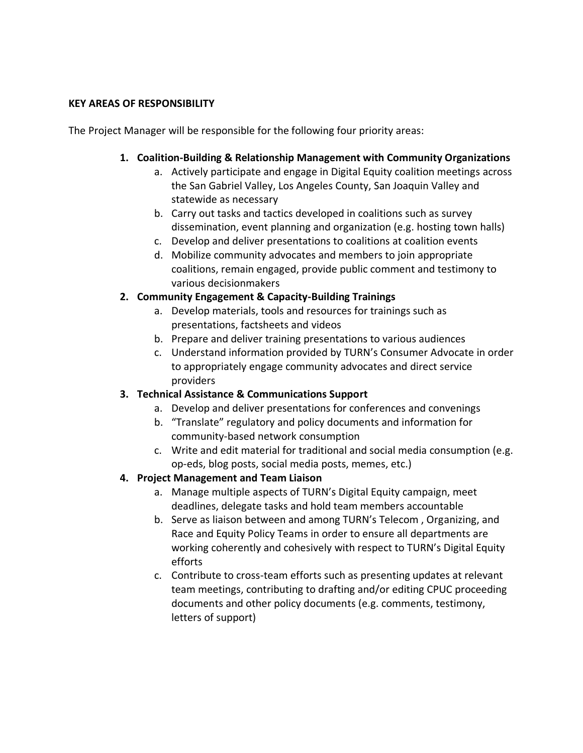#### **KEY AREAS OF RESPONSIBILITY**

The Project Manager will be responsible for the following four priority areas:

#### **1. Coalition-Building & Relationship Management with Community Organizations**

- a. Actively participate and engage in Digital Equity coalition meetings across the San Gabriel Valley, Los Angeles County, San Joaquin Valley and statewide as necessary
- b. Carry out tasks and tactics developed in coalitions such as survey dissemination, event planning and organization (e.g. hosting town halls)
- c. Develop and deliver presentations to coalitions at coalition events
- d. Mobilize community advocates and members to join appropriate coalitions, remain engaged, provide public comment and testimony to various decisionmakers

## **2. Community Engagement & Capacity-Building Trainings**

- a. Develop materials, tools and resources for trainings such as presentations, factsheets and videos
- b. Prepare and deliver training presentations to various audiences
- c. Understand information provided by TURN's Consumer Advocate in order to appropriately engage community advocates and direct service providers

## **3. Technical Assistance & Communications Support**

- a. Develop and deliver presentations for conferences and convenings
- b. "Translate" regulatory and policy documents and information for community-based network consumption
- c. Write and edit material for traditional and social media consumption (e.g. op-eds, blog posts, social media posts, memes, etc.)

## **4. Project Management and Team Liaison**

- a. Manage multiple aspects of TURN's Digital Equity campaign, meet deadlines, delegate tasks and hold team members accountable
- b. Serve as liaison between and among TURN's Telecom , Organizing, and Race and Equity Policy Teams in order to ensure all departments are working coherently and cohesively with respect to TURN's Digital Equity efforts
- c. Contribute to cross-team efforts such as presenting updates at relevant team meetings, contributing to drafting and/or editing CPUC proceeding documents and other policy documents (e.g. comments, testimony, letters of support)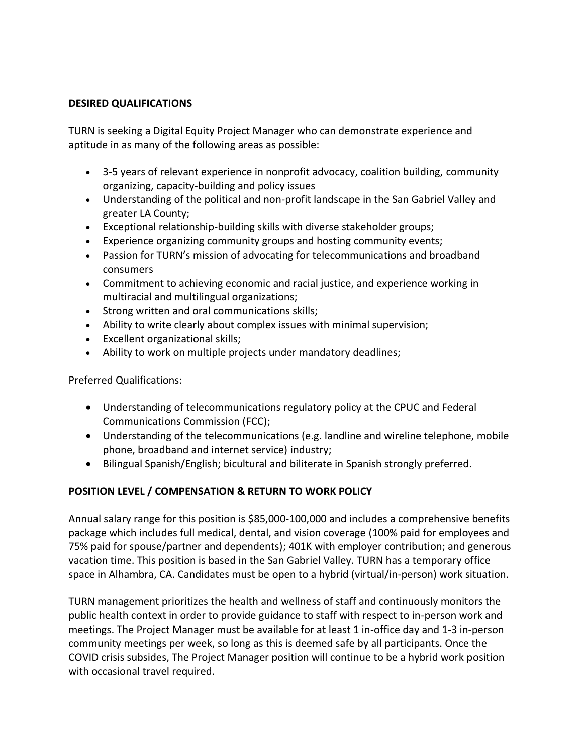#### **DESIRED QUALIFICATIONS**

TURN is seeking a Digital Equity Project Manager who can demonstrate experience and aptitude in as many of the following areas as possible:

- 3-5 years of relevant experience in nonprofit advocacy, coalition building, community organizing, capacity-building and policy issues
- Understanding of the political and non-profit landscape in the San Gabriel Valley and greater LA County;
- Exceptional relationship-building skills with diverse stakeholder groups;
- Experience organizing community groups and hosting community events;
- Passion for TURN's mission of advocating for telecommunications and broadband consumers
- Commitment to achieving economic and racial justice, and experience working in multiracial and multilingual organizations;
- Strong written and oral communications skills;
- Ability to write clearly about complex issues with minimal supervision;
- Excellent organizational skills;
- Ability to work on multiple projects under mandatory deadlines;

Preferred Qualifications:

- Understanding of telecommunications regulatory policy at the CPUC and Federal Communications Commission (FCC);
- Understanding of the telecommunications (e.g. landline and wireline telephone, mobile phone, broadband and internet service) industry;
- Bilingual Spanish/English; bicultural and biliterate in Spanish strongly preferred.

## **POSITION LEVEL / COMPENSATION & RETURN TO WORK POLICY**

Annual salary range for this position is \$85,000-100,000 and includes a comprehensive benefits package which includes full medical, dental, and vision coverage (100% paid for employees and 75% paid for spouse/partner and dependents); 401K with employer contribution; and generous vacation time. This position is based in the San Gabriel Valley. TURN has a temporary office space in Alhambra, CA. Candidates must be open to a hybrid (virtual/in-person) work situation.

TURN management prioritizes the health and wellness of staff and continuously monitors the public health context in order to provide guidance to staff with respect to in-person work and meetings. The Project Manager must be available for at least 1 in-office day and 1-3 in-person community meetings per week, so long as this is deemed safe by all participants. Once the COVID crisis subsides, The Project Manager position will continue to be a hybrid work position with occasional travel required.